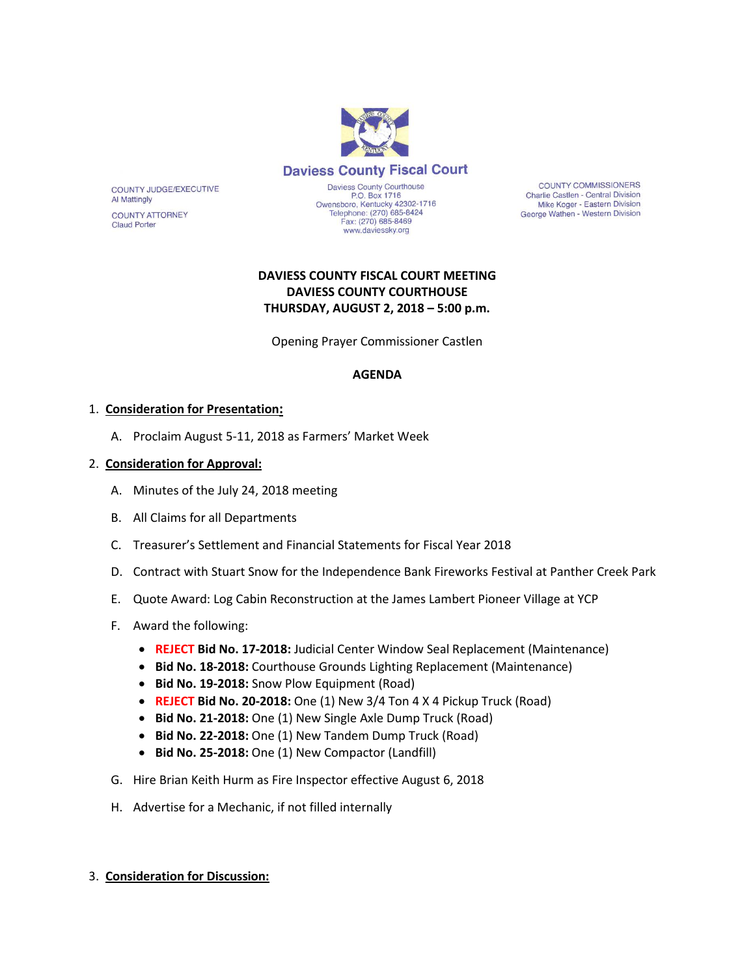

**Daviess County Fiscal Court** 

COUNTY JUDGE/EXECUTIVE **Al Mattingly** 

**COUNTY ATTORNEY Claud Porter** 

Daviess County Courthouse<br>P.O. Box 1716 Owensboro, Kentucky 42302-1716<br>Telephone: (270) 685-8424<br>Fax: (270) 685-8469 www.daviessky.org

**COUNTY COMMISSIONERS** Charlie Castlen - Central Division Mike Koger - Eastern Division George Wathen - Western Division

# **DAVIESS COUNTY FISCAL COURT MEETING DAVIESS COUNTY COURTHOUSE THURSDAY, AUGUST 2, 2018 – 5:00 p.m.**

Opening Prayer Commissioner Castlen

### **AGENDA**

# 1. **Consideration for Presentation:**

A. Proclaim August 5-11, 2018 as Farmers' Market Week

# 2. **Consideration for Approval:**

- A. Minutes of the July 24, 2018 meeting
- B. All Claims for all Departments
- C. Treasurer's Settlement and Financial Statements for Fiscal Year 2018
- D. Contract with Stuart Snow for the Independence Bank Fireworks Festival at Panther Creek Park
- E. Quote Award: Log Cabin Reconstruction at the James Lambert Pioneer Village at YCP
- F. Award the following:
	- **REJECT Bid No. 17-2018:** Judicial Center Window Seal Replacement (Maintenance)
	- **Bid No. 18-2018:** Courthouse Grounds Lighting Replacement (Maintenance)
	- **Bid No. 19-2018:** Snow Plow Equipment (Road)
	- **REJECT Bid No. 20-2018:** One (1) New 3/4 Ton 4 X 4 Pickup Truck (Road)
	- **Bid No. 21-2018:** One (1) New Single Axle Dump Truck (Road)
	- **Bid No. 22-2018:** One (1) New Tandem Dump Truck (Road)
	- **Bid No. 25-2018:** One (1) New Compactor (Landfill)
- G. Hire Brian Keith Hurm as Fire Inspector effective August 6, 2018
- H. Advertise for a Mechanic, if not filled internally

### 3. **Consideration for Discussion:**